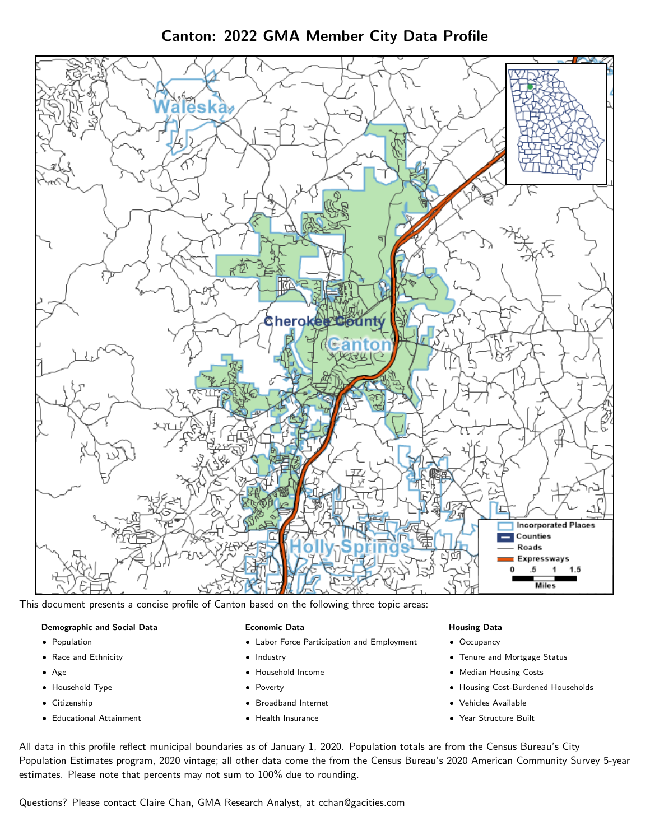Canton: 2022 GMA Member City Data Profile



This document presents a concise profile of Canton based on the following three topic areas:

### Demographic and Social Data

- **•** Population
- Race and Ethnicity
- Age
- Household Type
- **Citizenship**
- Educational Attainment

### Economic Data

- Labor Force Participation and Employment
- Industry
- Household Income
- Poverty
- Broadband Internet
- Health Insurance

### Housing Data

- Occupancy
- Tenure and Mortgage Status
- Median Housing Costs
- Housing Cost-Burdened Households
- Vehicles Available
- Year Structure Built

All data in this profile reflect municipal boundaries as of January 1, 2020. Population totals are from the Census Bureau's City Population Estimates program, 2020 vintage; all other data come the from the Census Bureau's 2020 American Community Survey 5-year estimates. Please note that percents may not sum to 100% due to rounding.

Questions? Please contact Claire Chan, GMA Research Analyst, at [cchan@gacities.com.](mailto:cchan@gacities.com)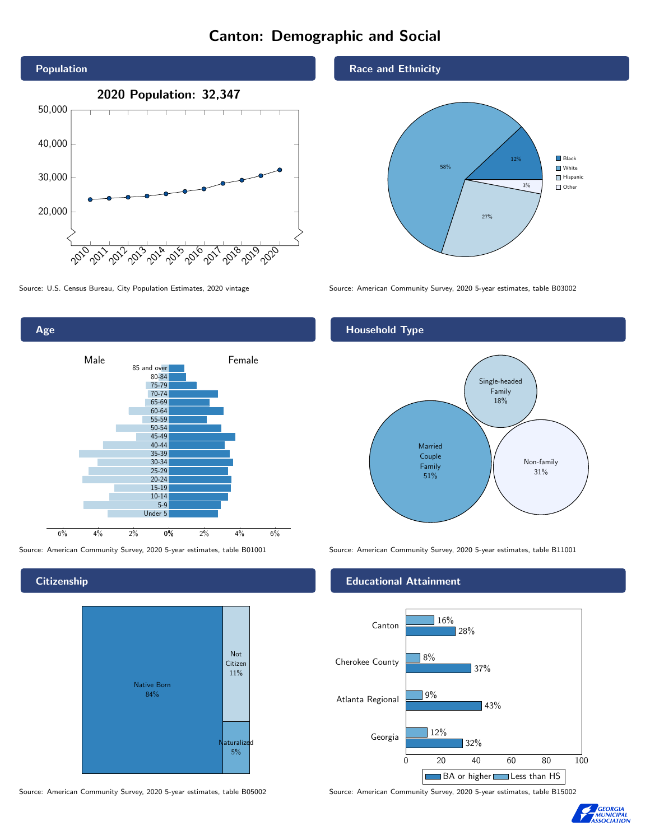# Canton: Demographic and Social





Source: American Community Survey, 2020 5-year estimates, table B01001 Source: American Community Survey, 2020 5-year estimates, table B11001

## **Citizenship**



Source: American Community Survey, 2020 5-year estimates, table B05002 Source: American Community Survey, 2020 5-year estimates, table B15002

#### Race and Ethnicity



Source: U.S. Census Bureau, City Population Estimates, 2020 vintage Source: American Community Survey, 2020 5-year estimates, table B03002

### Household Type



### Educational Attainment



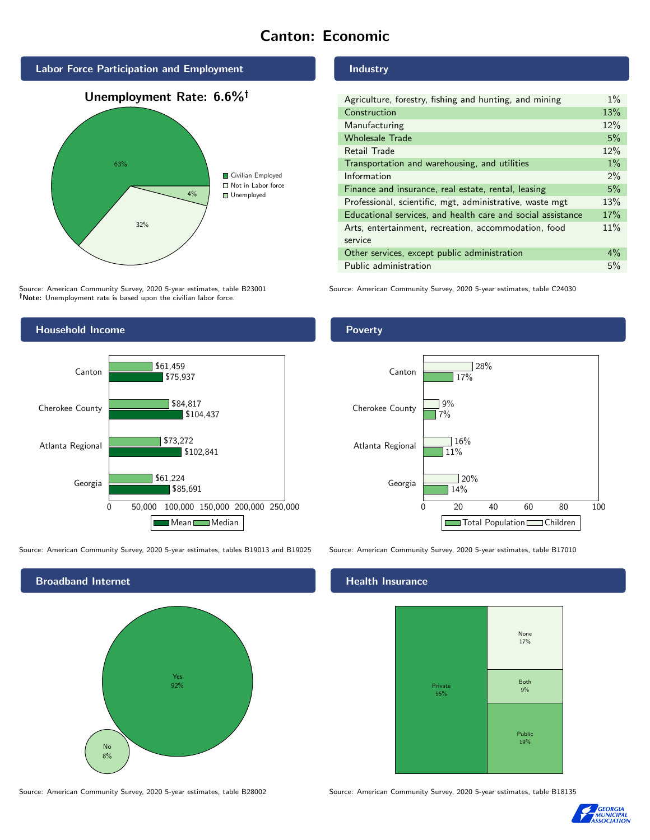# Canton: Economic



Source: American Community Survey, 2020 5-year estimates, table B23001 Note: Unemployment rate is based upon the civilian labor force.



Source: American Community Survey, 2020 5-year estimates, tables B19013 and B19025 Source: American Community Survey, 2020 5-year estimates, table B17010



Source: American Community Survey, 2020 5-year estimates, table B28002 Source: American Community Survey, 2020 5-year estimates, table B18135

#### Industry

| Agriculture, forestry, fishing and hunting, and mining      | $1\%$ |
|-------------------------------------------------------------|-------|
| Construction                                                | 13%   |
| Manufacturing                                               | 12%   |
| <b>Wholesale Trade</b>                                      | 5%    |
| Retail Trade                                                | 12%   |
| Transportation and warehousing, and utilities               | $1\%$ |
| Information                                                 | $2\%$ |
| Finance and insurance, real estate, rental, leasing         | 5%    |
| Professional, scientific, mgt, administrative, waste mgt    | 13%   |
| Educational services, and health care and social assistance | 17%   |
| Arts, entertainment, recreation, accommodation, food        | 11%   |
| service                                                     |       |
| Other services, except public administration                | $4\%$ |
| Public administration                                       | 5%    |

Source: American Community Survey, 2020 5-year estimates, table C24030

### Poverty



## **Health Insurance**